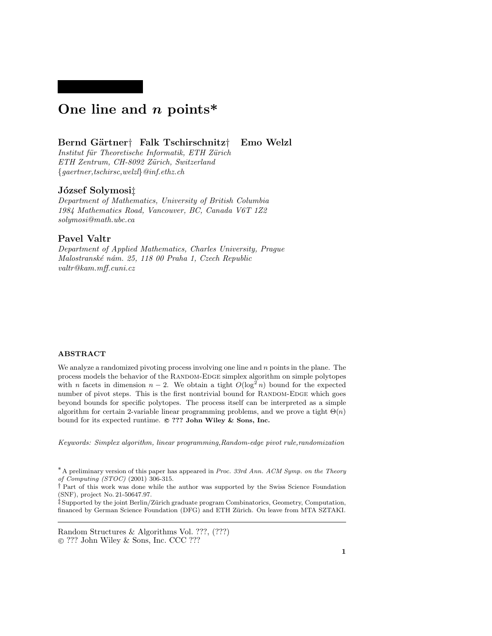# One line and  $n$  points\*

# Bernd Gärtner† Falk Tschirschnitz† Emo Welzl

Institut für Theoretische Informatik, ETH Zürich ETH Zentrum, CH-8092 Zürich, Switzerland {gaertner,tschirsc,welzl}@inf.ethz.ch

# József Solymosi‡

Department of Mathematics, University of British Columbia 1984 Mathematics Road, Vancouver, BC, Canada V6T 1Z2 solymosi@math.ubc.ca

# Pavel Valtr

Department of Applied Mathematics, Charles University, Prague Malostranské nám. 25, 118 00 Praha 1, Czech Republic valtr@kam.mff.cuni.cz

## ABSTRACT

We analyze a randomized pivoting process involving one line and  $n$  points in the plane. The process models the behavior of the Random-Edge simplex algorithm on simple polytopes with *n* facets in dimension  $n-2$ . We obtain a tight  $O(\log^2 n)$  bound for the expected number of pivot steps. This is the first nontrivial bound for RANDOM-EDGE which goes beyond bounds for specific polytopes. The process itself can be interpreted as a simple algorithm for certain 2-variable linear programming problems, and we prove a tight  $\Theta(n)$ bound for its expected runtime.  $\circ$  ??? John Wiley & Sons, Inc.

Keywords: Simplex algorithm, linear programming,Random-edge pivot rule,randomization

Random Structures & Algorithms Vol. ???, (???) !c ??? John Wiley & Sons, Inc. CCC ???

<sup>\*</sup> A preliminary version of this paper has appeared in Proc. 33rd Ann. ACM Symp. on the Theory of Computing (STOC) (2001) 306-315.

<sup>†</sup> Part of this work was done while the author was supported by the Swiss Science Foundation (SNF), project No. 21-50647.97.

<sup>‡</sup> Supported by the joint Berlin/Z¨urich graduate program Combinatorics, Geometry, Computation, financed by German Science Foundation (DFG) and ETH Zürich. On leave from MTA SZTAKI.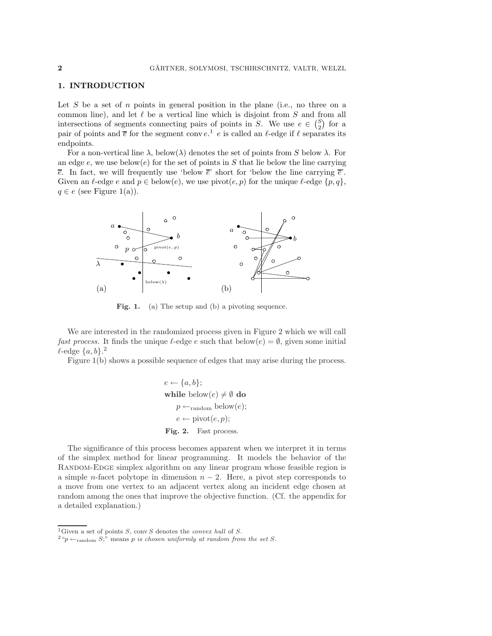## 1. INTRODUCTION

Let  $S$  be a set of  $n$  points in general position in the plane (i.e., no three on a common line), and let  $\ell$  be a vertical line which is disjoint from  $S$  and from all intersections of segments connecting pairs of points in S. We use  $e \in {S \choose 2}$  for a pair of points and  $\overline{e}$  for the segment conv  $e^1$  e is called an  $\ell$ -edge if  $\ell$  separates its endpoints.

For a non-vertical line  $\lambda$ , below( $\lambda$ ) denotes the set of points from S below  $\lambda$ . For an edge  $e$ , we use below $(e)$  for the set of points in S that lie below the line carrying  $\overline{e}$ . In fact, we will frequently use 'below  $\overline{e}$ ' short for 'below the line carrying  $\overline{e}$ '. Given an  $\ell$ -edge  $e$  and  $p \in \text{below}(e)$ , we use  $\text{pivot}(e, p)$  for the unique  $\ell$ -edge  $\{p, q\}$ ,  $q \in e$  (see Figure 1(a)).



Fig. 1. (a) The setup and (b) a pivoting sequence.

We are interested in the randomized process given in Figure 2 which we will call *fast process.* It finds the unique  $\ell$ -edge e such that below(e) =  $\emptyset$ , given some initial  $l$ -edge  $\{a, b\}$ .<sup>2</sup>

Figure 1(b) shows a possible sequence of edges that may arise during the process.

$$
e \leftarrow \{a, b\};
$$
  
while below(e)  $\neq \emptyset$  do  

$$
p \leftarrow_{\text{random}} \text{below}(e);
$$
  

$$
e \leftarrow \text{pivot}(e, p);
$$
  
**Fig. 2.** Fast process.

The significance of this process becomes apparent when we interpret it in terms of the simplex method for linear programming. It models the behavior of the RANDOM-EDGE simplex algorithm on any linear program whose feasible region is a simple n-facet polytope in dimension  $n-2$ . Here, a pivot step corresponds to a move from one vertex to an adjacent vertex along an incident edge chosen at random among the ones that improve the objective function. (Cf. the appendix for a detailed explanation.)

<sup>&</sup>lt;sup>1</sup>Given a set of points S, conv S denotes the *convex hull* of S.

 $2\overset{\circ}{p} \leftarrow$ <sub>random</sub>  $S$ ; means p is chosen uniformly at random from the set S.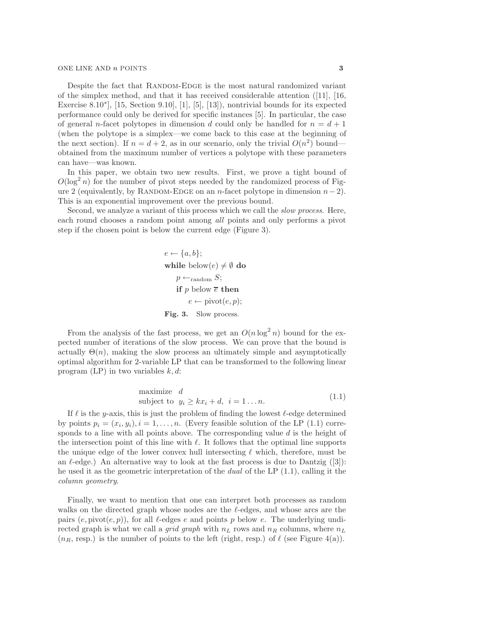#### ONE LINE AND *n* POINTS 3

Despite the fact that RANDOM-EDGE is the most natural randomized variant of the simplex method, and that it has received considerable attention ([11], [16, Exercise 8.10∗], [15, Section 9.10], [1], [5], [13]), nontrivial bounds for its expected performance could only be derived for specific instances [5]. In particular, the case of general n-facet polytopes in dimension d could only be handled for  $n = d + 1$ (when the polytope is a simplex—we come back to this case at the beginning of the next section). If  $n = d + 2$ , as in our scenario, only the trivial  $O(n^2)$  bound obtained from the maximum number of vertices a polytope with these parameters can have—was known.

In this paper, we obtain two new results. First, we prove a tight bound of  $O(\log^2 n)$  for the number of pivot steps needed by the randomized process of Figure 2 (equivalently, by RANDOM-EDGE on an n-facet polytope in dimension  $n-2$ ). This is an exponential improvement over the previous bound.

Second, we analyze a variant of this process which we call the slow process. Here, each round chooses a random point among all points and only performs a pivot step if the chosen point is below the current edge (Figure 3).

$$
e \leftarrow \{a, b\};
$$
  
while below $(e) \neq \emptyset$  do  
 $p \leftarrow_{\text{random}} S;$   
if  $p$  below  $\overline{e}$  then  
 $e \leftarrow \text{pivot}(e, p);$   
**Fig. 3.** Slow process.

From the analysis of the fast process, we get an  $O(n \log^2 n)$  bound for the expected number of iterations of the slow process. We can prove that the bound is actually  $\Theta(n)$ , making the slow process an ultimately simple and asymptotically optimal algorithm for 2-variable LP that can be transformed to the following linear program (LP) in two variables  $k, d$ :

maximize 
$$
d
$$
  
subject to  $y_i \ge kx_i + d$ ,  $i = 1...n$ . (1.1)

If  $\ell$  is the y-axis, this is just the problem of finding the lowest  $\ell$ -edge determined by points  $p_i = (x_i, y_i), i = 1, \ldots, n$ . (Every feasible solution of the LP (1.1) corresponds to a line with all points above. The corresponding value  $d$  is the height of the intersection point of this line with  $\ell$ . It follows that the optimal line supports the unique edge of the lower convex hull intersecting  $\ell$  which, therefore, must be an  $\ell$ -edge.) An alternative way to look at the fast process is due to Dantzig ([3]): he used it as the geometric interpretation of the dual of the LP (1.1), calling it the column geometry.

Finally, we want to mention that one can interpret both processes as random walks on the directed graph whose nodes are the  $\ell$ -edges, and whose arcs are the pairs  $(e, \text{pivot}(e, p))$ , for all  $\ell$ -edges e and points p below e. The underlying undirected graph is what we call a *grid graph* with  $n_L$  rows and  $n_R$  columns, where  $n_L$  $(n_R, resp.)$  is the number of points to the left (right, resp.) of  $\ell$  (see Figure 4(a)).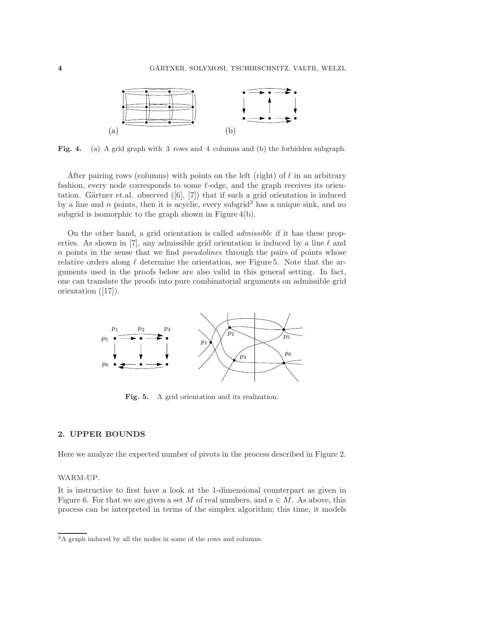

Fig. 4. (a) A grid graph with 3 rows and 4 columns and (b) the forbidden subgraph.

After pairing rows (columns) with points on the left (right) of  $\ell$  in an arbitrary fashion, every node corresponds to some  $\ell$ -edge, and the graph receives its orientation. Gärtner et.al. observed  $([6], [7])$  that if such a grid orientation is induced by a line and n points, then it is acyclic, every subgrid<sup>3</sup> has a unique sink, and no subgrid is isomorphic to the graph shown in Figure 4(b).

On the other hand, a grid orientation is called admissible if it has these properties. As shown in [7], any admissible grid orientation is induced by a line  $\ell$  and n points in the sense that we find pseudolines through the pairs of points whose relative orders along  $\ell$  determine the orientation, see Figure 5. Note that the arguments used in the proofs below are also valid in this general setting. In fact, one can translate the proofs into pure combinatorial arguments on admissible grid orientation ([17]).



Fig. 5. A grid orientation and its realization.

### 2. UPPER BOUNDS

Here we analyze the expected number of pivots in the process described in Figure 2.

## WARM-UP.

It is instructive to first have a look at the 1-dimensional counterpart as given in Figure 6. For that we are given a set M of real numbers, and  $a \in M$ . As above, this process can be interpreted in terms of the simplex algorithm; this time, it models

 $\overline{3A}$  graph induced by all the nodes in some of the rows and columns.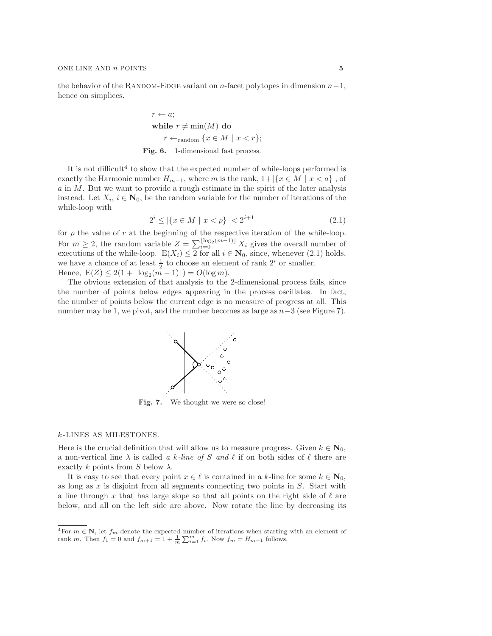the behavior of the RANDOM-EDGE variant on n-facet polytopes in dimension  $n-1$ , hence on simplices.

> $r \leftarrow a$ ; while  $r \neq \min(M)$  do  $r \leftarrow_{\text{random}} \{x \in M \mid x < r\};$ Fig. 6. 1-dimensional fast process.

It is not difficult<sup>4</sup> to show that the expected number of while-loops performed is exactly the Harmonic number  $H_{m-1}$ , where m is the rank,  $1+|\{x \in M \mid x < a\}|$ , of a in M. But we want to provide a rough estimate in the spirit of the later analysis instead. Let  $X_i$ ,  $i \in \mathbb{N}_0$ , be the random variable for the number of iterations of the while-loop with

$$
2^{i} \le |\{x \in M \mid x < \rho\}| < 2^{i+1} \tag{2.1}
$$

for  $\rho$  the value of r at the beginning of the respective iteration of the while-loop. For  $m \geq 2$ , the random variable  $Z = \sum_{i=0}^{\lfloor \log_2(m-1) \rfloor} X_i$  gives the overall number of executions of the while-loop.  $E(X_i) \leq 2$  for all  $i \in \mathbb{N}_0$ , since, whenever (2.1) holds, we have a chance of at least  $\frac{1}{2}$  to choose an element of rank  $2^i$  or smaller. Hence,  $E(Z) \leq 2(1 + \lfloor \log_2(m-1) \rfloor) = O(\log m)$ .

The obvious extension of that analysis to the 2-dimensional process fails, since the number of points below edges appearing in the process oscillates. In fact, the number of points below the current edge is no measure of progress at all. This number may be 1, we pivot, and the number becomes as large as  $n-3$  (see Figure 7).



Fig. 7. We thought we were so close!

### k -LINES AS MILESTONES.

Here is the crucial definition that will allow us to measure progress. Given  $k \in \mathbb{N}_0$ , a non-vertical line  $\lambda$  is called a k-line of S and l if on both sides of l there are exactly k points from S below  $\lambda$ .

It is easy to see that every point  $x \in \ell$  is contained in a k-line for some  $k \in \mathbb{N}_0$ , as long as  $x$  is disjoint from all segments connecting two points in  $S$ . Start with a line through x that has large slope so that all points on the right side of  $\ell$  are below, and all on the left side are above. Now rotate the line by decreasing its

<sup>&</sup>lt;sup>4</sup>For  $m \in \mathbb{N}$ , let  $f_m$  denote the expected number of iterations when starting with an element of rank  $m$ . Then  $f_1 = 0$  and  $f_{m+1} = 1 + \frac{1}{m} \sum_{i=1}^{m} f_i$ . Now  $f_m = H_{m-1}$  follows.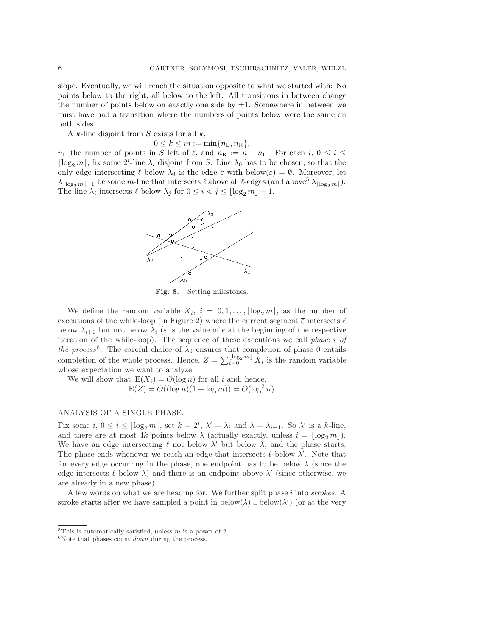slope. Eventually, we will reach the situation opposite to what we started with: No points below to the right, all below to the left. All transitions in between change the number of points below on exactly one side by  $\pm 1$ . Somewhere in between we must have had a transition where the numbers of points below were the same on both sides.

A k-line disjoint from  $S$  exists for all  $k$ ,

 $0 \leq k \leq m := \min\{n_{\rm L}, n_{\rm R}\},$ 

 $n_{\text{L}}$  the number of points in S left of  $\ell$ , and  $n_{\text{R}} := n - n_{\text{L}}$ . For each  $i, 0 \le i \le$  $\lfloor \log_2 m \rfloor$ , fix some  $2^i$ -line  $\lambda_i$  disjoint from S. Line  $\lambda_0$  has to be chosen, so that the only edge intersecting  $\ell$  below  $\lambda_0$  is the edge  $\varepsilon$  with below $(\varepsilon) = \emptyset$ . Moreover, let  $\lambda_{\lfloor \log_2 m \rfloor +1}$  be some m-line that intersects  $\ell$  above all  $\ell$ -edges (and above<sup>5</sup>  $\lambda_{\lfloor \log_2 m \rfloor}$ ). The line  $\lambda_i$  intersects  $\ell$  below  $\lambda_j$  for  $0 \leq i < j \leq \lfloor \log_2 m \rfloor + 1$ .



Fig. 8. Setting milestones.

We define the random variable  $X_i$ ,  $i = 0, 1, \ldots, |\log_2 m|$ , as the number of executions of the while-loop (in Figure 2) where the current segment  $\overline{\varepsilon}$  intersects  $\ell$ below  $\lambda_{i+1}$  but not below  $\lambda_i$  ( $\varepsilon$  is the value of  $e$  at the beginning of the respective iteration of the while-loop). The sequence of these executions we call phase i of the process<sup>6</sup>. The careful choice of  $\lambda_0$  ensures that completion of phase 0 entails completion of the whole process. Hence,  $Z = \sum_{i=0}^{\lfloor \log_2 m \rfloor} X_i$  is the random variable whose expectation we want to analyze.

We will show that  $E(X_i) = O(\log n)$  for all i and, hence,  $E(Z) = O((\log n)(1 + \log m)) = O(\log^2 n).$ 

#### ANALYSIS OF A SINGLE PHASE.

Fix some  $i, 0 \le i \le \lfloor \log_2 m \rfloor$ , set  $k = 2^i, \lambda' = \lambda_i$  and  $\lambda = \lambda_{i+1}$ . So  $\lambda'$  is a k-line, and there are at most 4k points below  $\lambda$  (actually exactly, unless  $i = \lfloor \log_2 m \rfloor$ ). We have an edge intersecting  $\ell$  not below  $\lambda'$  but below  $\lambda$ , and the phase starts. The phase ends whenever we reach an edge that intersects  $\ell$  below  $\lambda'$ . Note that for every edge occurring in the phase, one endpoint has to be below  $\lambda$  (since the edge intersects  $\ell$  below  $\lambda$ ) and there is an endpoint above  $\lambda'$  (since otherwise, we are already in a new phase).

A few words on what we are heading for. We further split phase i into strokes. A stroke starts after we have sampled a point in  $below(\lambda) \cup below(\lambda')$  (or at the very

 $5$ This is automatically satisfied, unless  $m$  is a power of 2.

 $6$ Note that phases count *down* during the process.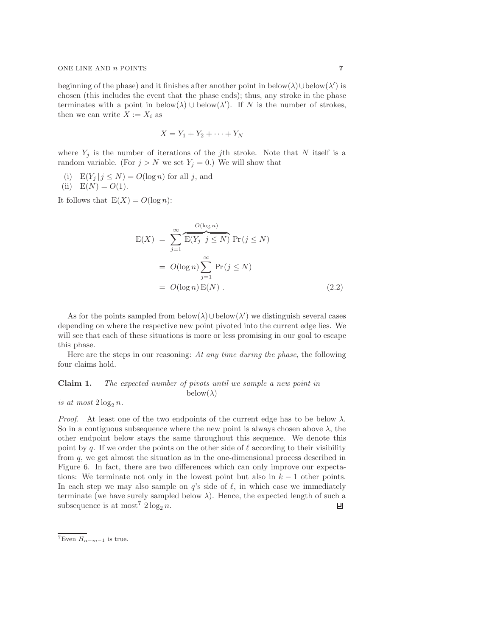beginning of the phase) and it finishes after another point in below( $\lambda$ )∪below( $\lambda'$ ) is chosen (this includes the event that the phase ends); thus, any stroke in the phase terminates with a point in below( $\lambda$ ) ∪ below( $\lambda'$ ). If N is the number of strokes, then we can write  $X := X_i$  as

$$
X = Y_1 + Y_2 + \cdots + Y_N
$$

where  $Y_j$  is the number of iterations of the jth stroke. Note that N itself is a random variable. (For  $j > N$  we set  $Y_j = 0$ .) We will show that

(i)  $E(Y_j | j \leq N) = O(\log n)$  for all j, and

(ii) 
$$
E(N) = O(1)
$$
.

It follows that  $E(X) = O(\log n)$ :

$$
E(X) = \sum_{j=1}^{\infty} \overbrace{E(Y_j | j \le N)}^{O(\log n)} Pr(j \le N)
$$
  
= 
$$
O(\log n) \sum_{j=1}^{\infty} Pr(j \le N)
$$
  
= 
$$
O(\log n) E(N)
$$
. (2.2)

As for the points sampled from  $below(\lambda) \cup below(\lambda')$  we distinguish several cases depending on where the respective new point pivoted into the current edge lies. We will see that each of these situations is more or less promising in our goal to escape this phase.

Here are the steps in our reasoning: At any time during the phase, the following four claims hold.

# Claim 1. The expected number of pivots until we sample a new point in  $below(\lambda)$

is at most  $2 \log_2 n$ .

*Proof.* At least one of the two endpoints of the current edge has to be below  $\lambda$ . So in a contiguous subsequence where the new point is always chosen above  $\lambda$ , the other endpoint below stays the same throughout this sequence. We denote this point by q. If we order the points on the other side of  $\ell$  according to their visibility from q, we get almost the situation as in the one-dimensional process described in Figure 6. In fact, there are two differences which can only improve our expectations: We terminate not only in the lowest point but also in  $k-1$  other points. In each step we may also sample on  $q$ 's side of  $\ell$ , in which case we immediately terminate (we have surely sampled below  $\lambda$ ). Hence, the expected length of such a subsequence is at most<sup>7</sup>  $2 \log_2 n$ . 回

 $7E$ ven  $H_{n-m-1}$  is true.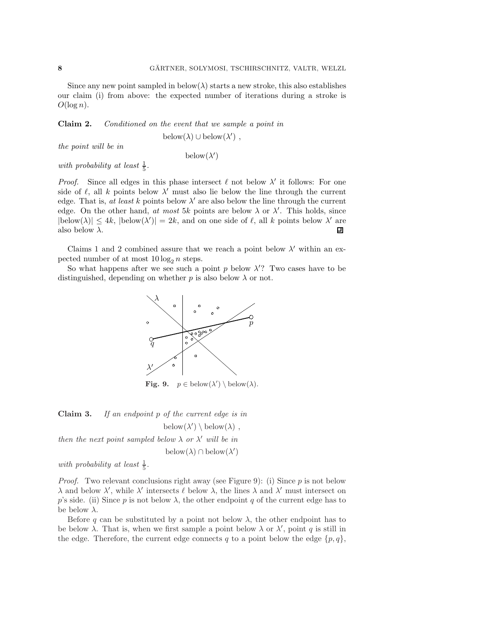Since any new point sampled in below( $\lambda$ ) starts a new stroke, this also establishes our claim (i) from above: the expected number of iterations during a stroke is  $O(\log n)$ .

Claim 2. Conditioned on the event that we sample a point in

below( $\lambda$ ) ∪ below( $\lambda'$ ),

the point will be in

 $below(\lambda')$ 

with probability at least  $\frac{1}{5}$ .

*Proof.* Since all edges in this phase intersect  $\ell$  not below  $\lambda'$  it follows: For one side of  $\ell$ , all k points below  $\lambda'$  must also lie below the line through the current edge. That is, at least k points below  $\lambda'$  are also below the line through the current edge. On the other hand, at most 5k points are below  $\lambda$  or  $\lambda'$ . This holds, since  $|\text{below}(\lambda)| \leq 4k$ ,  $|\text{below}(\lambda')| = 2k$ , and on one side of  $\ell$ , all k points below  $\lambda'$  are also below  $\lambda$ .

Claims 1 and 2 combined assure that we reach a point below  $\lambda'$  within an expected number of at most  $10 \log_2 n$  steps.

So what happens after we see such a point p below  $\lambda$ ? Two cases have to be distinguished, depending on whether  $p$  is also below  $\lambda$  or not.



**Fig. 9.**  $p \in \text{below}(\lambda') \setminus \text{below}(\lambda)$ .

Claim 3. If an endpoint p of the current edge is in below $(\lambda') \setminus \mathrm{below}(\lambda)$ ,

then the next point sampled below  $\lambda$  or  $\lambda'$  will be in

below( $\lambda$ ) ∩ below( $\lambda'$ )

with probability at least  $\frac{1}{5}$ .

*Proof.* Two relevant conclusions right away (see Figure 9): (i) Since  $p$  is not below  $\lambda$  and below  $\lambda'$ , while  $\lambda'$  intersects  $\ell$  below  $\lambda$ , the lines  $\lambda$  and  $\lambda'$  must intersect on p's side. (ii) Since p is not below  $\lambda$ , the other endpoint q of the current edge has to be below  $\lambda$ .

Before q can be substituted by a point not below  $\lambda$ , the other endpoint has to be below  $\lambda$ . That is, when we first sample a point below  $\lambda$  or  $\lambda'$ , point q is still in the edge. Therefore, the current edge connects q to a point below the edge  $\{p, q\}$ ,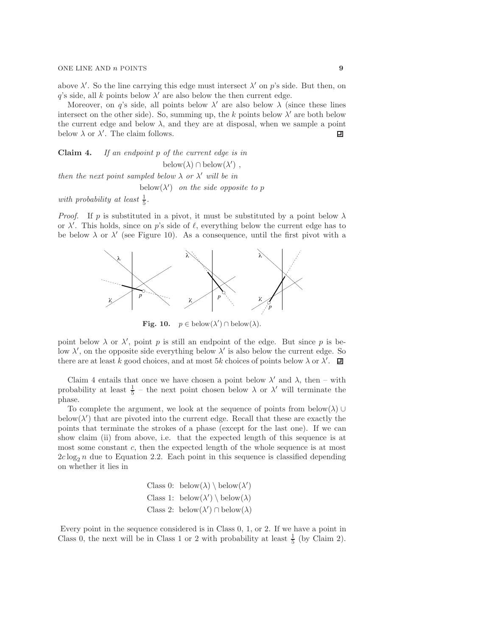above  $\lambda'$ . So the line carrying this edge must intersect  $\lambda'$  on p's side. But then, on q's side, all k points below  $\lambda'$  are also below the then current edge.

Moreover, on q's side, all points below  $\lambda'$  are also below  $\lambda$  (since these lines intersect on the other side). So, summing up, the k points below  $\lambda'$  are both below the current edge and below  $\lambda$ , and they are at disposal, when we sample a point below  $\lambda$  or  $\lambda'$ . The claim follows. 凹

Claim 4. If an endpoint p of the current edge is in below( $\lambda$ ) ∩ below( $\lambda'$ ), then the next point sampled below  $\lambda$  or  $\lambda'$  will be in

below $(\lambda')$  on the side opposite to p

with probability at least  $\frac{1}{5}$ .

*Proof.* If p is substituted in a pivot, it must be substituted by a point below  $\lambda$ or  $\lambda'$ . This holds, since on p's side of  $\ell$ , everything below the current edge has to be below  $\lambda$  or  $\lambda'$  (see Figure 10). As a consequence, until the first pivot with a



**Fig. 10.**  $p \in \text{below}(\lambda') \cap \text{below}(\lambda)$ .

point below  $\lambda$  or  $\lambda'$ , point p is still an endpoint of the edge. But since p is below  $\lambda'$ , on the opposite side everything below  $\lambda'$  is also below the current edge. So there are at least k good choices, and at most  $5k$  choices of points below  $\lambda$  or  $\lambda'$ .

Claim 4 entails that once we have chosen a point below  $\lambda'$  and  $\lambda$ , then – with probability at least  $\frac{1}{5}$  – the next point chosen below  $\lambda$  or  $\lambda'$  will terminate the phase.

To complete the argument, we look at the sequence of points from below( $\lambda$ ) ∪ below $(\lambda')$  that are pivoted into the current edge. Recall that these are exactly the points that terminate the strokes of a phase (except for the last one). If we can show claim (ii) from above, i.e. that the expected length of this sequence is at most some constant c, then the expected length of the whole sequence is at most  $2c \log_2 n$  due to Equation 2.2. Each point in this sequence is classified depending on whether it lies in

Class 0: below(
$$
\lambda
$$
) \ below( $\lambda'$ )  
Class 1: below( $\lambda'$ ) \ below( $\lambda$ )  
Class 2: below( $\lambda'$ ) \ below( $\lambda$ )

Every point in the sequence considered is in Class 0, 1, or 2. If we have a point in Class 0, the next will be in Class 1 or 2 with probability at least  $\frac{1}{5}$  (by Claim 2).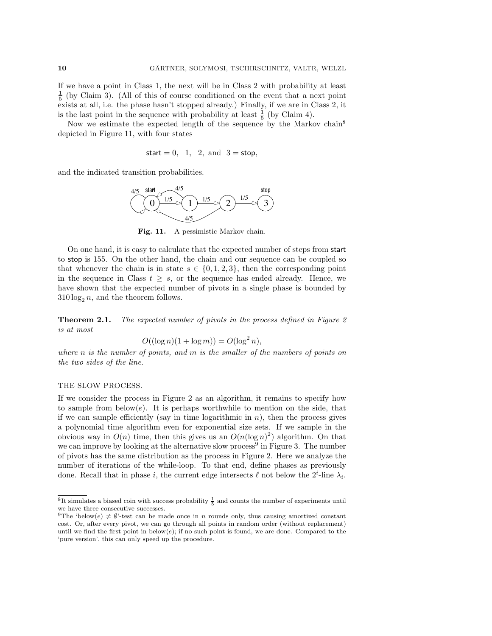If we have a point in Class 1, the next will be in Class 2 with probability at least  $\frac{1}{5}$  (by Claim 3). (All of this of course conditioned on the event that a next point exists at all, i.e. the phase hasn't stopped already.) Finally, if we are in Class 2, it is the last point in the sequence with probability at least  $\frac{1}{5}$  (by Claim 4).

Now we estimate the expected length of the sequence by the Markov chain<sup>8</sup> depicted in Figure 11, with four states

start  $= 0$ , 1, 2, and  $3 = stop$ ,

and the indicated transition probabilities.



Fig. 11. A pessimistic Markov chain.

On one hand, it is easy to calculate that the expected number of steps from start to stop is 155. On the other hand, the chain and our sequence can be coupled so that whenever the chain is in state  $s \in \{0, 1, 2, 3\}$ , then the corresponding point in the sequence in Class  $t \geq s$ , or the sequence has ended already. Hence, we have shown that the expected number of pivots in a single phase is bounded by  $310 \log_2 n$ , and the theorem follows.

**Theorem 2.1.** The expected number of pivots in the process defined in Figure 2 is at most

$$
O((\log n)(1 + \log m)) = O(\log^2 n),
$$

where n is the number of points, and  $m$  is the smaller of the numbers of points on the two sides of the line.

#### THE SLOW PROCESS.

If we consider the process in Figure 2 as an algorithm, it remains to specify how to sample from below $(e)$ . It is perhaps worthwhile to mention on the side, that if we can sample efficiently (say in time logarithmic in  $n$ ), then the process gives a polynomial time algorithm even for exponential size sets. If we sample in the obvious way in  $O(n)$  time, then this gives us an  $O(n(\log n)^2)$  algorithm. On that we can improve by looking at the alternative slow process<sup>9</sup> in Figure 3. The number of pivots has the same distribution as the process in Figure 2. Here we analyze the number of iterations of the while-loop. To that end, define phases as previously done. Recall that in phase *i*, the current edge intersects  $\ell$  not below the  $2^i$ -line  $\lambda_i$ .

 ${}^{8}$ It simulates a biased coin with success probability  $\frac{1}{5}$  and counts the number of experiments until we have three consecutive successes.

<sup>&</sup>lt;sup>9</sup>The 'below(e)  $\neq \emptyset$ '-test can be made once in n rounds only, thus causing amortized constant cost. Or, after every pivot, we can go through all points in random order (without replacement) until we find the first point in below $(e)$ ; if no such point is found, we are done. Compared to the 'pure version', this can only speed up the procedure.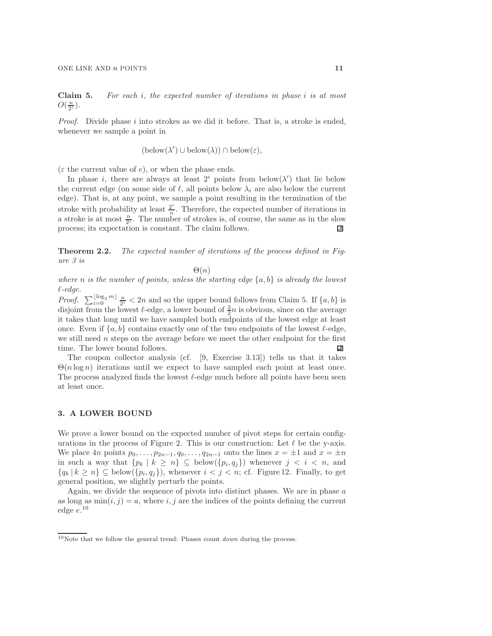**Claim 5.** For each i, the expected number of iterations in phase i is at most  $O(\frac{n}{2^i})$ .

*Proof.* Divide phase  $i$  into strokes as we did it before. That is, a stroke is ended, whenever we sample a point in

$$
(\mathrm{below}(\lambda') \cup \mathrm{below}(\lambda)) \cap \mathrm{below}(\varepsilon),
$$

 $(\varepsilon$  the current value of e), or when the phase ends.

In phase i, there are always at least  $2^i$  points from below( $\lambda'$ ) that lie below the current edge (on some side of  $\ell$ , all points below  $\lambda_i$  are also below the current edge). That is, at any point, we sample a point resulting in the termination of the stroke with probability at least  $\frac{2^i}{n}$ . Therefore, the expected number of iterations in a stroke is at most  $\frac{n}{2^i}$ . The number of strokes is, of course, the same as in the slow process; its expectation is constant. The claim follows.

Theorem 2.2. The expected number of iterations of the process defined in Figure 3 is

 $\Theta(n)$ 

where n is the number of points, unless the starting edge  $\{a, b\}$  is already the lowest  $\ell$ -edge.

*Proof.*  $\sum_{i=0}^{\lfloor \log_2 m \rfloor} \frac{n}{2^i} < 2n$  and so the upper bound follows from Claim 5. If  $\{a, b\}$  is disjoint from the lowest  $\ell$ -edge, a lower bound of  $\frac{3}{2}n$  is obvious, since on the average it takes that long until we have sampled both endpoints of the lowest edge at least once. Even if  $\{a, b\}$  contains exactly one of the two endpoints of the lowest  $\ell$ -edge, we still need  $n$  steps on the average before we meet the other endpoint for the first time. The lower bound follows. 口

The coupon collector analysis (cf. [9, Exercise 3.13]) tells us that it takes  $\Theta(n \log n)$  iterations until we expect to have sampled each point at least once. The process analyzed finds the lowest  $\ell$ -edge much before all points have been seen at least once.

#### 3. A LOWER BOUND

We prove a lower bound on the expected number of pivot steps for certain configurations in the process of Figure 2. This is our construction: Let  $\ell$  be the y-axis. We place  $4n$  points  $p_0, \ldots, p_{2n-1}, q_0, \ldots, q_{2n-1}$  onto the lines  $x = \pm 1$  and  $x = \pm n$ in such a way that  $\{p_k | k \geq n\} \subseteq \text{below}(\{p_i, q_j\})$  whenever  $j < i < n$ , and  ${q_k | k \geq n} \subseteq \text{below}({p_i, q_j})$ , whenever  $i < j < n$ ; cf. Figure 12. Finally, to get general position, we slightly perturb the points.

Again, we divide the sequence of pivots into distinct phases. We are in phase a as long as  $\min(i, j) = a$ , where i, j are the indices of the points defining the current edge  $e.$ <sup>10</sup>

 $10$ Note that we follow the general trend: Phases count *down* during the process.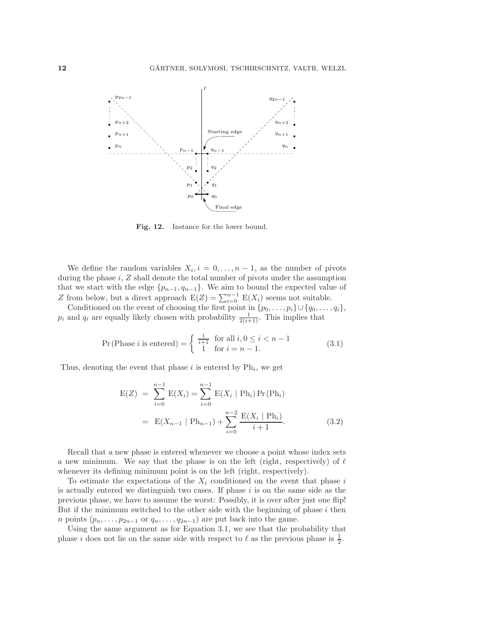

Fig. 12. Instance for the lower bound.

We define the random variables  $X_i$ ,  $i = 0, \ldots, n-1$ , as the number of pivots during the phase  $i$ ,  $Z$  shall denote the total number of pivots under the assumption that we start with the edge  $\{p_{n-1}, q_{n-1}\}$ . We aim to bound the expected value of Z from below, but a direct approach  $E(Z) = \sum_{i=0}^{n-1} E(X_i)$  seems not suitable.

Conditioned on the event of choosing the first point in  $\{p_0, \ldots, p_i\} \cup \{q_0, \ldots, q_i\}$ ,  $p_i$  and  $q_i$  are equally likely chosen with probability  $\frac{1}{2(i+1)}$ . This implies that

$$
\Pr(\text{Phase } i \text{ is entered}) = \begin{cases} \frac{1}{i+1} & \text{for all } i, 0 \le i < n-1 \\ 1 & \text{for } i = n-1. \end{cases} \tag{3.1}
$$

Thus, denoting the event that phase i is entered by  $Ph_i$ , we get

$$
E(Z) = \sum_{i=0}^{n-1} E(X_i) = \sum_{i=0}^{n-1} E(X_i | Ph_i) Pr(Ph_i)
$$
  
= 
$$
E(X_{n-1} | Ph_{n-1}) + \sum_{i=0}^{n-2} \frac{E(X_i | Ph_i)}{i+1}.
$$
 (3.2)

Recall that a new phase is entered whenever we choose a point whose index sets a new minimum. We say that the phase is on the left (right, respectively) of  $\ell$ whenever its defining minimum point is on the left (right, respectively).

To estimate the expectations of the  $X_i$  conditioned on the event that phase i is actually entered we distinguish two cases. If phase  $i$  is on the same side as the previous phase, we have to assume the worst: Possibly, it is over after just one flip! But if the minimum switched to the other side with the beginning of phase  $i$  then *n* points  $(p_n, \ldots, p_{2n-1}$  or  $q_n, \ldots, q_{2n-1})$  are put back into the game.

Using the same argument as for Equation 3.1, we see that the probability that phase *i* does not lie on the same side with respect to  $\ell$  as the previous phase is  $\frac{1}{2}$ .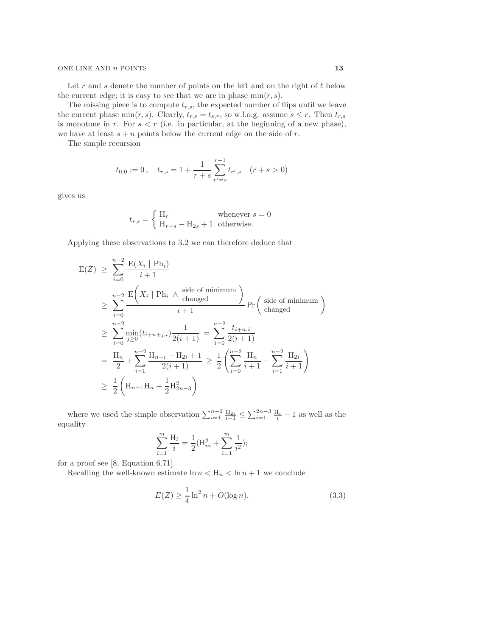Let r and s denote the number of points on the left and on the right of  $\ell$  below the current edge; it is easy to see that we are in phase  $min(r, s)$ .

The missing piece is to compute  $t_{r,s}$ , the expected number of flips until we leave the current phase min $(r, s)$ . Clearly,  $t_{r,s} = t_{s,r}$ , so w.l.o.g. assume  $s \leq r$ . Then  $t_{r,s}$ is monotone in r. For  $s < r$  (i.e. in particular, at the beginning of a new phase), we have at least  $s + n$  points below the current edge on the side of r.

The simple recursion

$$
t_{0,0} := 0
$$
,  $t_{r,s} = 1 + \frac{1}{r+s} \sum_{r'=s}^{r-1} t_{r',s} \quad (r+s > 0)$ 

gives us

$$
t_{r,s} = \begin{cases} H_r & \text{whenever } s = 0\\ H_{r+s} - H_{2s} + 1 & \text{otherwise.} \end{cases}
$$

Applying these observations to 3.2 we can therefore deduce that

$$
E(Z) \geq \sum_{i=0}^{n-2} \frac{E(X_i | Ph_i)}{i+1}
$$
  
\n
$$
\geq \sum_{i=0}^{n-2} \frac{E(X_i | Ph_i \wedge \text{side of minimum})}{i+1} Pr\left(\text{side of minimum}\atop \text{changed}\right)
$$
  
\n
$$
\geq \sum_{i=0}^{n-2} \frac{\min(t_{i+n+j,i})}{i \geq 0} \frac{1}{2(i+1)} = \sum_{i=0}^{n-2} \frac{t_{i+n,i}}{2(i+1)}
$$
  
\n
$$
= \frac{H_n}{2} + \sum_{i=1}^{n-2} \frac{H_{n+i} - H_{2i} + 1}{2(i+1)} \geq \frac{1}{2} \left(\sum_{i=0}^{n-2} \frac{H_n}{i+1} - \sum_{i=1}^{n-2} \frac{H_{2i}}{i+1}\right)
$$
  
\n
$$
\geq \frac{1}{2} \left(H_{n-1}H_n - \frac{1}{2}H_{2n-3}^2\right)
$$

where we used the simple observation  $\sum_{i=1}^{n-2} \frac{H_{2i}}{i+1} \leq \sum_{i=1}^{2n-3} \frac{H_i}{i} - 1$  as well as the equality

$$
\sum_{i=1}^{m} \frac{\mathcal{H}_i}{i} = \frac{1}{2} (\mathcal{H}_m^2 + \sum_{i=1}^{m} \frac{1}{i^2});
$$

for a proof see [8, Equation 6.71].

Recalling the well-known estimate  $\ln n < H_n < \ln n + 1$  we conclude

$$
E(Z) \ge \frac{1}{4} \ln^2 n + O(\log n). \tag{3.3}
$$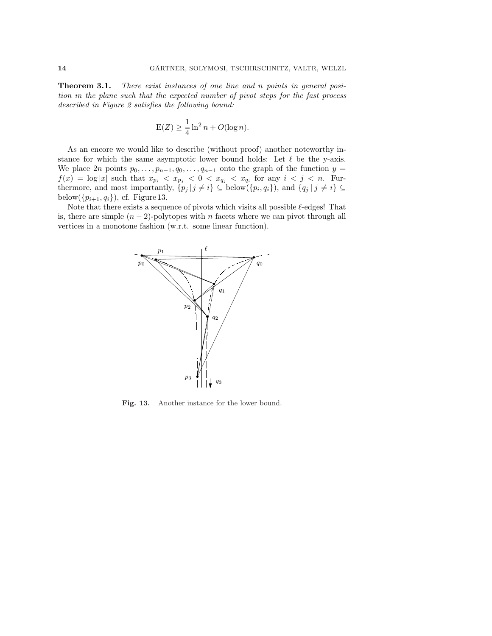**Theorem 3.1.** There exist instances of one line and n points in general position in the plane such that the expected number of pivot steps for the fast process described in Figure 2 satisfies the following bound:

$$
E(Z) \ge \frac{1}{4} \ln^2 n + O(\log n).
$$

As an encore we would like to describe (without proof) another noteworthy instance for which the same asymptotic lower bound holds: Let  $\ell$  be the y-axis. We place 2n points  $p_0, \ldots, p_{n-1}, q_0, \ldots, q_{n-1}$  onto the graph of the function  $y =$  $f(x) = \log |x|$  such that  $x_{p_i} < x_{p_j} < 0 < x_{q_j} < x_{q_i}$  for any  $i < j < n$ . Furthermore, and most importantly,  $\{p_j | j \neq i\} \subseteq \text{below}(\{p_i, q_i\})$ , and  $\{q_j | j \neq i\} \subseteq$ below $(\{p_{i+1}, q_i\})$ , cf. Figure 13.

Note that there exists a sequence of pivots which visits all possible  $\ell$ -edges! That is, there are simple  $(n-2)$ -polytopes with n facets where we can pivot through all vertices in a monotone fashion (w.r.t. some linear function).



Fig. 13. Another instance for the lower bound.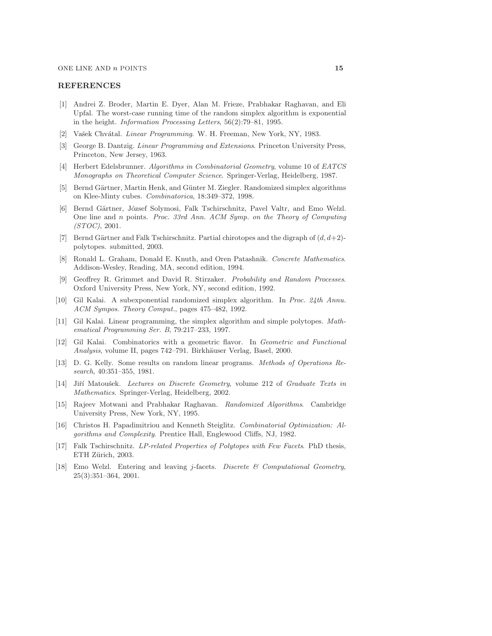#### REFERENCES

- [1] Andrei Z. Broder, Martin E. Dyer, Alan M. Frieze, Prabhakar Raghavan, and Eli Upfal. The worst-case running time of the random simplex algorithm is exponential in the height. Information Processing Letters, 56(2):79–81, 1995.
- [2] Vašek Chvátal. *Linear Programming.* W. H. Freeman, New York, NY, 1983.
- [3] George B. Dantzig. Linear Programming and Extensions. Princeton University Press, Princeton, New Jersey, 1963.
- [4] Herbert Edelsbrunner. Algorithms in Combinatorial Geometry, volume 10 of EATCS Monographs on Theoretical Computer Science. Springer-Verlag, Heidelberg, 1987.
- [5] Bernd Gärtner, Martin Henk, and Günter M. Ziegler. Randomized simplex algorithms on Klee-Minty cubes. Combinatorica, 18:349–372, 1998.
- [6] Bernd Gärtner, József Solymosi, Falk Tschirschnitz, Pavel Valtr, and Emo Welzl. One line and n points. Proc. 33rd Ann. ACM Symp. on the Theory of Computing (STOC), 2001.
- [7] Bernd Gärtner and Falk Tschirschnitz. Partial chirotopes and the digraph of  $(d, d+2)$ polytopes. submitted, 2003.
- [8] Ronald L. Graham, Donald E. Knuth, and Oren Patashnik. Concrete Mathematics. Addison-Wesley, Reading, MA, second edition, 1994.
- [9] Geoffrey R. Grimmet and David R. Stirzaker. Probability and Random Processes. Oxford University Press, New York, NY, second edition, 1992.
- [10] Gil Kalai. A subexponential randomized simplex algorithm. In Proc. 24th Annu. ACM Sympos. Theory Comput., pages 475–482, 1992.
- [11] Gil Kalai. Linear programming, the simplex algorithm and simple polytopes. Mathematical Programming Ser. B, 79:217–233, 1997.
- [12] Gil Kalai. Combinatorics with a geometric flavor. In Geometric and Functional Analysis, volume II, pages 742–791. Birkhäuser Verlag, Basel, 2000.
- [13] D. G. Kelly. Some results on random linear programs. Methods of Operations Research, 40:351–355, 1981.
- [14] Jiří Matoušek. Lectures on Discrete Geometry, volume 212 of Graduate Texts in Mathematics. Springer-Verlag, Heidelberg, 2002.
- [15] Rajeev Motwani and Prabhakar Raghavan. Randomized Algorithms. Cambridge University Press, New York, NY, 1995.
- [16] Christos H. Papadimitriou and Kenneth Steiglitz. Combinatorial Optimization: Algorithms and Complexity. Prentice Hall, Englewood Cliffs, NJ, 1982.
- [17] Falk Tschirschnitz. LP-related Properties of Polytopes with Few Facets. PhD thesis, ETH Zürich, 2003.
- [18] Emo Welzl. Entering and leaving j-facets. Discrete  $\mathcal{B}'$  Computational Geometry, 25(3):351–364, 2001.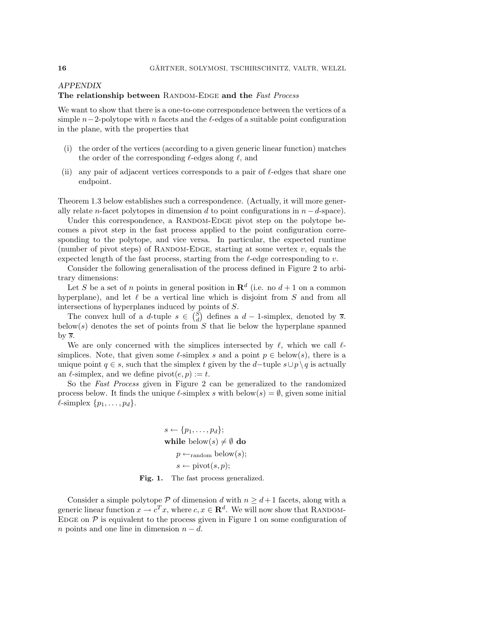# APPENDIX The relationship between RANDOM-EDGE and the Fast Process

We want to show that there is a one-to-one correspondence between the vertices of a simple  $n-2$ -polytope with n facets and the  $\ell$ -edges of a suitable point configuration in the plane, with the properties that

- (i) the order of the vertices (according to a given generic linear function) matches the order of the corresponding  $\ell$ -edges along  $\ell$ , and
- (ii) any pair of adjacent vertices corresponds to a pair of  $\ell$ -edges that share one endpoint.

Theorem 1.3 below establishes such a correspondence. (Actually, it will more generally relate n-facet polytopes in dimension d to point configurations in  $n - d$ -space).

Under this correspondence, a RANDOM-EDGE pivot step on the polytope becomes a pivot step in the fast process applied to the point configuration corresponding to the polytope, and vice versa. In particular, the expected runtime (number of pivot steps) of RANDOM-EDGE, starting at some vertex  $v$ , equals the expected length of the fast process, starting from the  $\ell$ -edge corresponding to v.

Consider the following generalisation of the process defined in Figure 2 to arbitrary dimensions:

Let S be a set of n points in general position in  $\mathbf{R}^d$  (i.e. no  $d+1$  on a common hyperplane), and let  $\ell$  be a vertical line which is disjoint from S and from all intersections of hyperplanes induced by points of S.

The convex hull of a d-tuple  $s \in \binom{S}{d}$  defines a  $d-1$ -simplex, denoted by  $\overline{s}$ . below(s) denotes the set of points from  $S$  that lie below the hyperplane spanned by  $\overline{s}$ .

We are only concerned with the simplices intersected by  $\ell$ , which we call  $\ell$ simplices. Note, that given some  $\ell$ -simplex s and a point  $p \in \text{below}(s)$ , there is a unique point  $q \in s$ , such that the simplex t given by the d–tuple  $s \cup p \setminus q$  is actually an  $\ell$ -simplex, and we define pivot $(e, p) := t$ .

So the Fast Process given in Figure 2 can be generalized to the randomized process below. It finds the unique  $\ell$ -simplex s with below(s) =  $\emptyset$ , given some initial  $\ell$ -simplex  $\{p_1,\ldots,p_d\}.$ 

$$
s \leftarrow \{p_1, \ldots, p_d\};
$$
  
while below(s)  $\neq \emptyset$  do  

$$
p \leftarrow_{\text{random}} \text{below}(s);
$$
  

$$
s \leftarrow \text{pivot}(s, p);
$$

Fig. 1. The fast process generalized.

Consider a simple polytope P of dimension d with  $n \geq d+1$  facets, along with a generic linear function  $x \to c^T x$ , where  $c, x \in \mathbb{R}^d$ . We will now show that RANDOM-EDGE on  $P$  is equivalent to the process given in Figure 1 on some configuration of n points and one line in dimension  $n - d$ .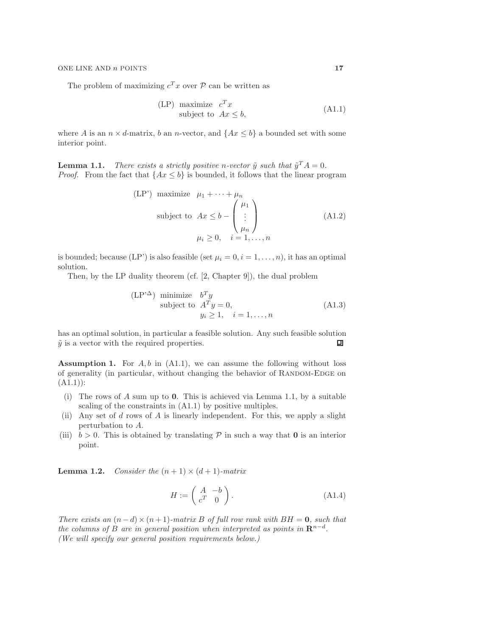The problem of maximizing  $c^T x$  over  $\mathcal P$  can be written as

$$
\begin{array}{ll}\n\text{(LP)} \text{ maximize } c^T x\\ \n\text{subject to } Ax \leq b,\n\end{array} \tag{A1.1}
$$

where A is an  $n \times d$ -matrix, b an n-vector, and  $\{Ax \leq b\}$  a bounded set with some interior point.

**Lemma 1.1.** There exists a strictly positive n-vector  $\tilde{y}$  such that  $\tilde{y}^T A = 0$ . *Proof.* From the fact that  $\{Ax \leq b\}$  is bounded, it follows that the linear program

$$
\begin{aligned}\n\text{(LP') maximize } \mu_1 + \dots + \mu_n \\
\text{subject to } Ax \le b - \begin{pmatrix} \mu_1 \\ \vdots \\ \mu_n \end{pmatrix} \\
\mu_i \ge 0, \quad i = 1, \dots, n\n\end{aligned} \tag{A1.2}
$$

is bounded; because (LP') is also feasible (set  $\mu_i = 0, i = 1, \ldots, n$ ), it has an optimal solution.

Then, by the LP duality theorem (cf. [2, Chapter 9]), the dual problem

$$
\begin{array}{ll}\n\text{(LP'}^{\Delta}) & \text{minimize} & b^T y \\
\text{subject to} & A^T y = 0, \\
& y_i \ge 1, \quad i = 1, \dots, n\n\end{array}\n\tag{A1.3}
$$

has an optimal solution, in particular a feasible solution. Any such feasible solution  $\tilde{y}$  is a vector with the required properties. 凹

**Assumption 1.** For  $A, b$  in  $(A1.1)$ , we can assume the following without loss of generality (in particular, without changing the behavior of RANDOM-EDGE on  $(A1.1)$ :

- (i) The rows of A sum up to 0. This is achieved via Lemma 1.1, by a suitable scaling of the constraints in (A1.1) by positive multiples.
- (ii) Any set of d rows of A is linearly independent. For this, we apply a slight perturbation to A.
- (iii)  $b > 0$ . This is obtained by translating  $P$  in such a way that **0** is an interior point.

**Lemma 1.2.** Consider the  $(n + 1) \times (d + 1)$ -matrix

$$
H := \left(\begin{array}{cc} A & -b \\ c^T & 0 \end{array}\right). \tag{A1.4}
$$

There exists an  $(n-d) \times (n+1)$ -matrix B of full row rank with  $BH = 0$ , such that the columns of B are in general position when interpreted as points in  $\mathbb{R}^{n-d}$ . (We will specify our general position requirements below.)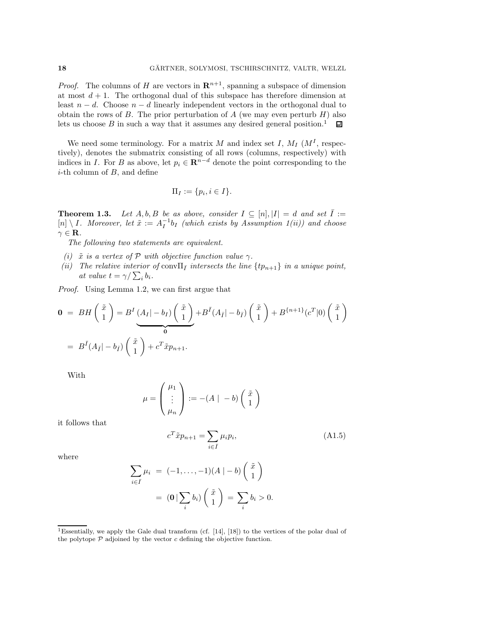*Proof.* The columns of H are vectors in  $\mathbb{R}^{n+1}$ , spanning a subspace of dimension at most  $d + 1$ . The orthogonal dual of this subspace has therefore dimension at least  $n - d$ . Choose  $n - d$  linearly independent vectors in the orthogonal dual to obtain the rows of B. The prior perturbation of A (we may even perturb  $H$ ) also lets us choose  $B$  in such a way that it assumes any desired general position.<sup>1</sup>  $\Box$ 

We need some terminology. For a matrix M and index set I,  $M_I$  ( $M^I$ , respectively), denotes the submatrix consisting of all rows (columns, respectively) with indices in I. For B as above, let  $p_i \in \mathbb{R}^{n-d}$  denote the point corresponding to the  $i$ -th column of  $B$ , and define

$$
\Pi_I := \{p_i, i \in I\}.
$$

**Theorem 1.3.** Let  $A, b, B$  be as above, consider  $I \subseteq [n], |I| = d$  and set  $\overline{I} :=$  $[n] \setminus I$ . Moreover, let  $\tilde{x} := A_I^{-1}b_I$  (which exists by Assumption 1(ii)) and choose  $\gamma \in \mathbf{R}$ .

The following two statements are equivalent.

- (i)  $\tilde{x}$  is a vertex of P with objective function value  $\gamma$ .
- (ii) The relative interior of conv $\Pi_{\bar{I}}$  intersects the line  $\{tp_{n+1}\}$  in a unique point, at value  $t = \gamma / \sum_i b_i$ .

Proof. Using Lemma 1.2, we can first argue that

$$
\mathbf{0} = BH\left(\begin{array}{c}\tilde{x} \\ 1\end{array}\right) = B^I\underbrace{(A_I|-b_I)\begin{pmatrix}\tilde{x} \\ 1\end{pmatrix}}_{\mathbf{0}} + B^{\bar{I}}(A_{\bar{I}}|-b_{\bar{I}})\begin{pmatrix}\tilde{x} \\ 1\end{pmatrix} + B^{\{n+1\}}(c^T|0)\begin{pmatrix}\tilde{x} \\ 1\end{pmatrix}
$$

$$
= B^{\bar{I}}(A_{\bar{I}}|-b_{\bar{I}})\begin{pmatrix}\tilde{x} \\ 1\end{pmatrix} + c^T\tilde{x}p_{n+1}.
$$

With

$$
\mu = \begin{pmatrix} \mu_1 \\ \vdots \\ \mu_n \end{pmatrix} := -(A \mid -b) \begin{pmatrix} \tilde{x} \\ 1 \end{pmatrix}
$$

it follows that

$$
c^T \tilde{x} p_{n+1} = \sum_{i \in \bar{I}} \mu_i p_i,\tag{A1.5}
$$

where

$$
\sum_{i \in \bar{I}} \mu_i = (-1, \dots, -1)(A \mid -b) \begin{pmatrix} \tilde{x} \\ 1 \end{pmatrix}
$$

$$
= (\mathbf{0} \mid \sum_i b_i) \begin{pmatrix} \tilde{x} \\ 1 \end{pmatrix} = \sum_i b_i > 0.
$$

<sup>&</sup>lt;sup>1</sup>Essentially, we apply the Gale dual transform (cf. [14], [18]) to the vertices of the polar dual of the polytope  $P$  adjoined by the vector c defining the objective function.